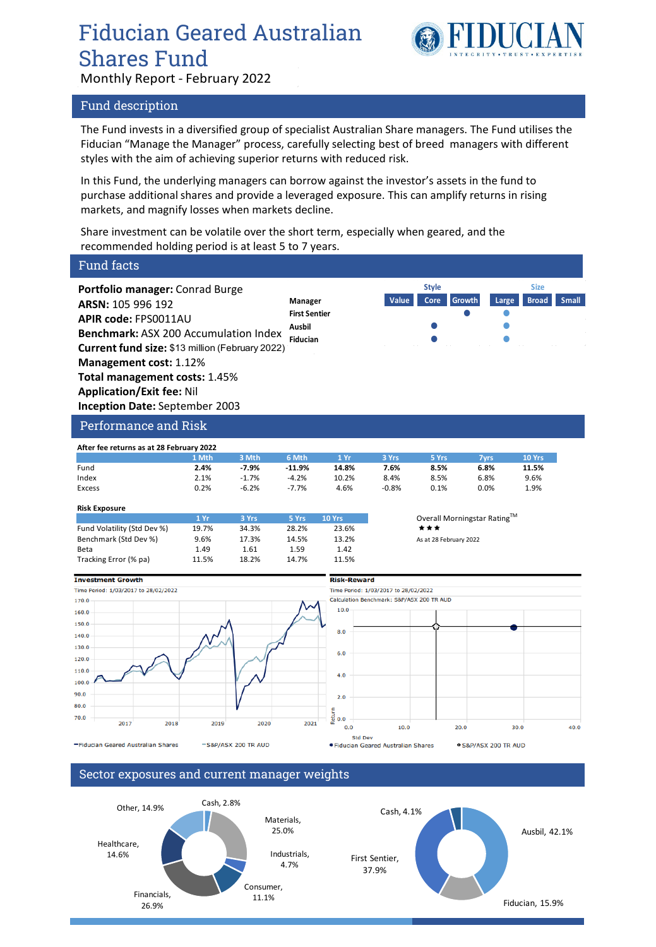## Fiducian Geared Australian Shares Fund



Monthly Report - February 2022

### Fund description

The Fund invests in a diversified group of specialist Australian Share managers. The Fund utilises the Fiducian "Manage the Manager" process, carefully selecting best of breed managers with different styles with the aim of achieving superior returns with reduced risk.

In this Fund, the underlying managers can borrow against the investor's assets in the fund to purchase additional shares and provide a leveraged exposure. This can amplify returns in rising markets, and magnify losses when markets decline.

Share investment can be volatile over the short term, especially when geared, and the recommended holding period is at least 5 to 7 years.

**First Sentier**

### Fund facts

**Portfolio manager:** Conrad Burge **ARSN:** 105 996 192 **APIR code:** FPS0011AU **Benchmark:** ASX 200 Accumulation Index **Current fund size:** \$13 million (February 2022) **Management cost:** 1.12% **Total management costs:** 1.45% **Application/Exit fee:** Nil **Inception Date:** September 2003

| Performance and Risk |  |  |
|----------------------|--|--|
|                      |  |  |

| After fee returns as at 28 February 2022 |       |         |          |       |         |       |      |        |
|------------------------------------------|-------|---------|----------|-------|---------|-------|------|--------|
|                                          | 1 Mth | 3 Mth   | 6 Mth    | 1 Yr  | 3 Yrs   | 5 Yrs | 7vrs | 10 Yrs |
| Fund                                     | 2.4%  | $-7.9%$ | $-11.9%$ | 14.8% | 7.6%    | 8.5%  | 6.8% | 11.5%  |
| Index                                    | 2.1%  | $-1.7%$ | $-4.2%$  | 10.2% | 8.4%    | 8.5%  | 6.8% | 9.6%   |
| Excess                                   | 0.2%  | $-6.2%$ | $-7.7%$  | 4.6%  | $-0.8%$ | 0.1%  | 0.0% | 1.9%   |

### **Risk Exposure**

|                             | 1 Yr  | 3 Yrs | 5 Yrs | <b>10 Yrs</b> | Overall  |
|-----------------------------|-------|-------|-------|---------------|----------|
| Fund Volatility (Std Dev %) | 19.7% | 34.3% | 28.2% | 23.6%         | ***      |
| Benchmark (Std Dev %)       | 9.6%  | 17.3% | 14.5% | 13.2%         | As at 28 |
| Beta                        | 1.49  | 1.61  | 1.59  | 1.42          |          |
| Tracking Error (% pa)       | 11.5% | 18.2% | 14.7% | 11.5%         |          |

**Overall Morningstar Rating™** 

As at 28 February 2022

**Manager Value Core Growth Large Broad Small**

**Style Size**

**Ausbil Fiducian**







S&P/ASX 200 TR AUD

### Sector exposures and current manager weights